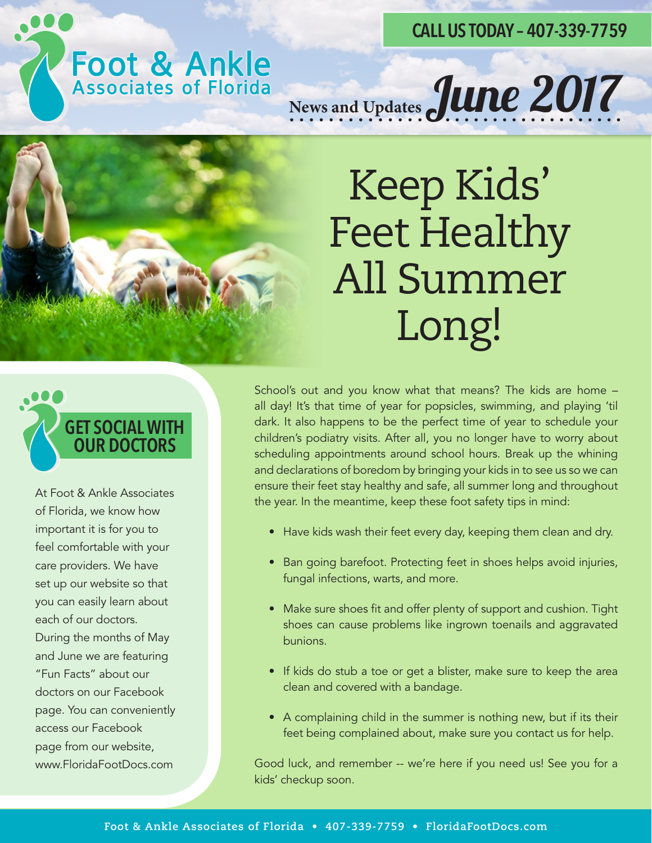#### **CALL US TODAY – 407-339-7759**

# **Foot & Ankle**<br>Associates of Florida

News and Updates June 2017

### Keep Kids' Feet Healthy All Summer Long!



At Foot & Ankle Associates of Florida, we know how important it is for you to feel comfortable with your care providers. We have set up our website so that you can easily learn about each of our doctors. During the months of May and June we are featuring "Fun Facts" about our doctors on our Facebook page. You can conveniently access our Facebook page from our website, www.FloridaFootDocs.com

School's out and you know what that means? The kids are home – all day! It's that time of year for popsicles, swimming, and playing 'til dark. It also happens to be the perfect time of year to schedule your children's podiatry visits. After all, you no longer have to worry about scheduling appointments around school hours. Break up the whining and declarations of boredom by bringing your kids in to see us so we can ensure their feet stay healthy and safe, all summer long and throughout the year. In the meantime, keep these foot safety tips in mind:

- Have kids wash their feet every day, keeping them clean and dry.
- Ban going barefoot. Protecting feet in shoes helps avoid injuries, fungal infections, warts, and more.
- Make sure shoes fit and offer plenty of support and cushion. Tight shoes can cause problems like ingrown toenails and aggravated bunions.
- If kids do stub a toe or get a blister, make sure to keep the area clean and covered with a bandage.
- A complaining child in the summer is nothing new, but if its their feet being complained about, make sure you contact us for help.

Good luck, and remember -- we're here if you need us! See you for a kids' checkup soon.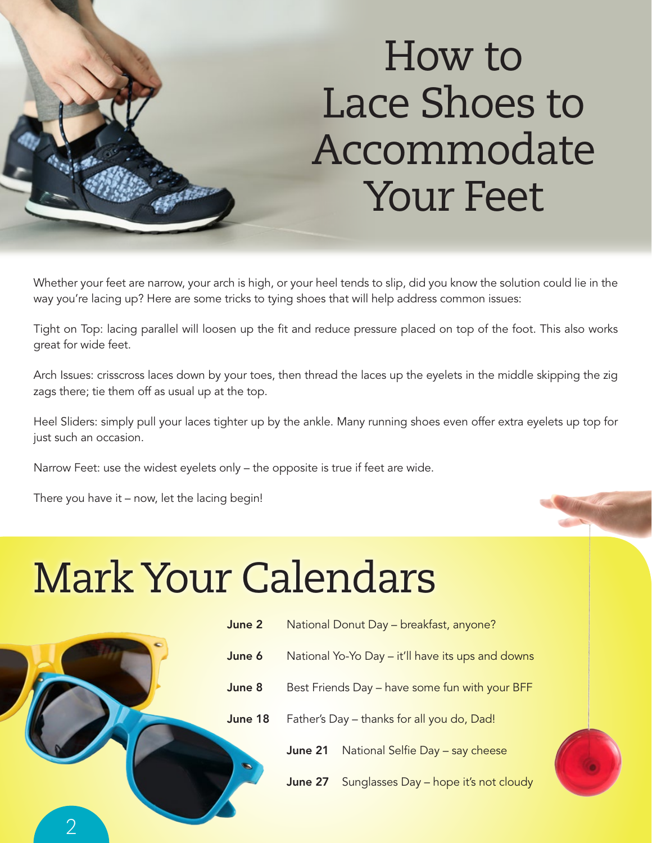#### How to Lace Shoes to Accommodate Your Feet

Whether your feet are narrow, your arch is high, or your heel tends to slip, did you know the solution could lie in the way you're lacing up? Here are some tricks to tying shoes that will help address common issues:

Tight on Top: lacing parallel will loosen up the fit and reduce pressure placed on top of the foot. This also works great for wide feet.

Arch Issues: crisscross laces down by your toes, then thread the laces up the eyelets in the middle skipping the zig zags there; tie them off as usual up at the top.

Heel Sliders: simply pull your laces tighter up by the ankle. Many running shoes even offer extra eyelets up top for just such an occasion.

Narrow Feet: use the widest eyelets only – the opposite is true if feet are wide.

There you have it – now, let the lacing begin!

### Mark Your Calendars

|  | June 2  | National Donut Day - breakfast, anyone?     |                                 |
|--|---------|---------------------------------------------|---------------------------------|
|  | June 6  | National Yo-Yo Day - it'll have its ups and |                                 |
|  | June 8  | Best Friends Day - have some fun with yo    |                                 |
|  | June 18 | Father's Day - thanks for all you do, Dad!  |                                 |
|  |         | June 21                                     | National Selfie Day - say chees |
|  |         | June 27                                     | Sunglasses Day - hope it's not  |
|  |         |                                             |                                 |

- 1-Yo Day it'll have its ups and downs Is Day – have some fun with your BFF y – thanks for all you do, Dad!
	- National Selfie Day say cheese
	- Sunglasses Day hope it's not cloudy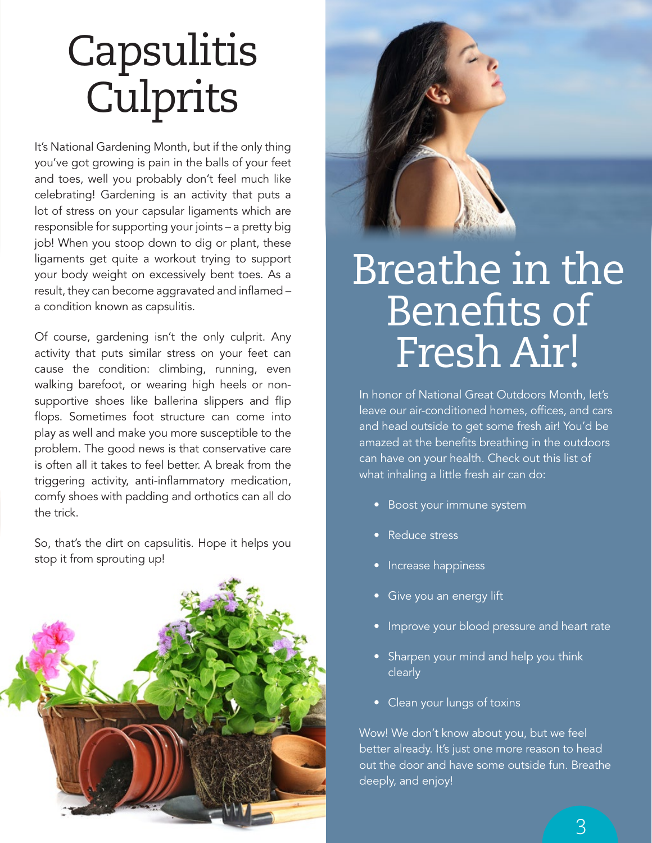## **Capsulitis** Culprits

It's National Gardening Month, but if the only thing you've got growing is pain in the balls of your feet and toes, well you probably don't feel much like celebrating! Gardening is an activity that puts a lot of stress on your capsular ligaments which are responsible for supporting your joints – a pretty big job! When you stoop down to dig or plant, these ligaments get quite a workout trying to support your body weight on excessively bent toes. As a result, they can become aggravated and inflamed a condition known as capsulitis.

Of course, gardening isn't the only culprit. Any activity that puts similar stress on your feet can cause the condition: climbing, running, even walking barefoot, or wearing high heels or nonsupportive shoes like ballerina slippers and flip flops. Sometimes foot structure can come into play as well and make you more susceptible to the problem. The good news is that conservative care is often all it takes to feel better. A break from the triggering activity, anti-inflammatory medication, comfy shoes with padding and orthotics can all do the trick.

So, that's the dirt on capsulitis. Hope it helps you stop it from sprouting up!



#### Breathe in the Benefits of Fresh Air!

In honor of National Great Outdoors Month, let's leave our air-conditioned homes, offices, and cars and head outside to get some fresh air! You'd be amazed at the benefits breathing in the outdoors can have on your health. Check out this list of what inhaling a little fresh air can do:

- Boost your immune system
- Reduce stress
- Increase happiness
- Give you an energy lift
- Improve your blood pressure and heart rate
- Sharpen your mind and help you think clearly
- Clean your lungs of toxins

Wow! We don't know about you, but we feel better already. It's just one more reason to head out the door and have some outside fun. Breathe deeply, and enjoy!